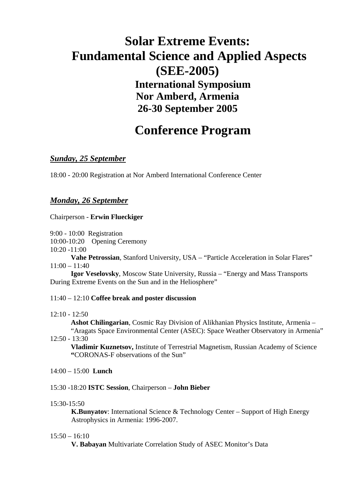# **Solar Extreme Events: Fundamental Science and Applied Aspects (SEE-2005) International Symposium Nor Amberd, Armenia 26-30 September 2005**

## **Conference Program**

## *Sunday, 25 September*

18:00 - 20:00 Registration at Nor Amberd International Conference Center

## *Monday, 26 September*

Chairperson - **Erwin Flueckiger** 

9:00 - 10:00 Registration

10:00-10:20 Opening Ceremony

 $10:20 - 11:00$ 

**Vahe Petrossian**, Stanford University, USA – "Particle Acceleration in Solar Flares" 11:00 – 11:40

**Igor Veselovsky**, Moscow State University, Russia – "Energy and Mass Transports During Extreme Events on the Sun and in the Heliosphere"

## 11:40 – 12:10 **Coffee break and poster discussion**

12:10 - 12:50

**Ashot Chilingarian**, Cosmic Ray Division of Alikhanian Physics Institute, Armenia – "Aragats Space Environmental Center (ASEC): Space Weather Observatory in Armenia"

12:50 - 13:30

**Vladimir Kuznetsov,** Institute of Terrestrial Magnetism, Russian Academy of Science **"**CORONAS-F observations of the Sun"

14:00 – 15:00 **Lunch** 

## 15:30 -18:20 **ISTC Session**, Chairperson – **John Bieber**

15:30-15:50

**K.Bunyatov**: International Science & Technology Center – Support of High Energy Astrophysics in Armenia: 1996-2007.

## 15:50 – 16:10

**V. Babayan** Multivariate Correlation Study of ASEC Monitor's Data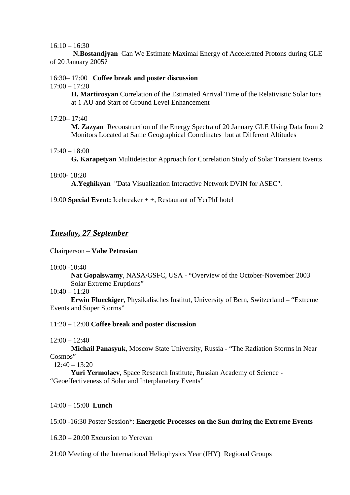#### $16:10 - 16:30$

**N.Bostandjyan** Can We Estimate Maximal Energy of Accelerated Protons during GLE of 20 January 2005?

16:30– 17:00 **Coffee break and poster discussion**

 $17:00 - 17:20$ 

**H. Martirosyan** Correlation of the Estimated Arrival Time of the Relativistic Solar Ions at 1 AU and Start of Ground Level Enhancement

#### 17:20– 17:40

**M. Zazyan** Reconstruction of the Energy Spectra of 20 January GLE Using Data from 2 Monitors Located at Same Geographical Coordinates but at Different Altitudes

## $17:40 - 18:00$

**G. Karapetyan** Multidetector Approach for Correlation Study of Solar Transient Events

#### 18:00- 18:20

**A.Yeghikyan** "Data Visualization Interactive Network DVIN for ASEC".

19:00 **Special Event:** Icebreaker + +, Restaurant of YerPhI hotel

## *Tuesday, 27 September*

Chairperson – **Vahe Petrosian**

10:00 -10:40

**Nat Gopalswamy**, NASA/GSFC, USA - "Overview of the October-November 2003 Solar Extreme Eruptions"

10:40 – 11:20

**Erwin Flueckiger**, Physikalisches Institut, University of Bern, Switzerland – "Extreme Events and Super Storms"

## 11:20 – 12:00 **Coffee break and poster discussion**

 $12:00 - 12:40$ 

 **Michail Panasyuk**, Moscow State University, Russia **-** "The Radiation Storms in Near Cosmos"

 $12:40 - 13:20$ 

**Yuri Yermolaev**, Space Research Institute, Russian Academy of Science - "Geoeffectiveness of Solar and Interplanetary Events"

## 14:00 – 15:00 **Lunch**

## 15:00 -16:30 Poster Session\*: **Energetic Processes on the Sun during the Extreme Events**

16:30 – 20:00 Excursion to Yerevan

21:00 Meeting of the International Heliophysics Year (IHY) Regional Groups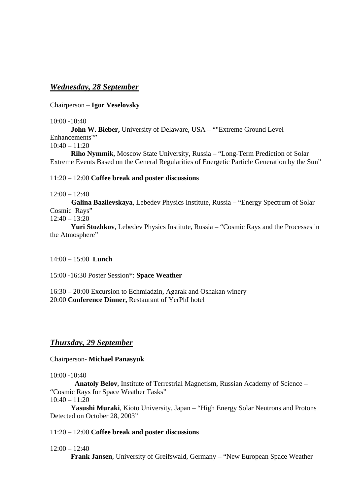## *Wednesday, 28 September*

Chairperson – **Igor Veselovsky** 

 $10:00 - 10:40$ 

**John W. Bieber,** University of Delaware, USA – ""Extreme Ground Level Enhancements""

10:40 – 11:20

**Riho Nymmik**, Moscow State University, Russia – "Long-Term Prediction of Solar Extreme Events Based on the General Regularities of Energetic Particle Generation by the Sun"

11:20 – 12:00 **Coffee break and poster discussions** 

 $12:00 - 12:40$ 

 **Galina Bazilevskaya**, Lebedev Physics Institute, Russia – "Energy Spectrum of Solar Cosmic Rays"

 $12:40 - 13:20$ 

**Yuri Stozhkov**, Lebedev Physics Institute, Russia – "Cosmic Rays and the Processes in the Atmosphere"

14:00 – 15:00 **Lunch** 

15:00 -16:30 Poster Session\*: **Space Weather** 

16:30 – 20:00 Excursion to Echmiadzin, Agarak and Oshakan winery 20:00 **Conference Dinner,** Restaurant of YerPhI hotel

## *Thursday, 29 September*

Chairperson- **Michael Panasyuk** 

10:00 -10:40

 **Anatoly Belov**, Institute of Terrestrial Magnetism, Russian Academy of Science – "Cosmic Rays for Space Weather Tasks" 10:40 – 11:20

**Yasushi Muraki**, Kioto University, Japan – "High Energy Solar Neutrons and Protons Detected on October 28, 2003"

## 11:20 – 12:00 **Coffee break and poster discussions**

## $12:00 - 12:40$

 **Frank Jansen**, University of Greifswald, Germany – "New European Space Weather